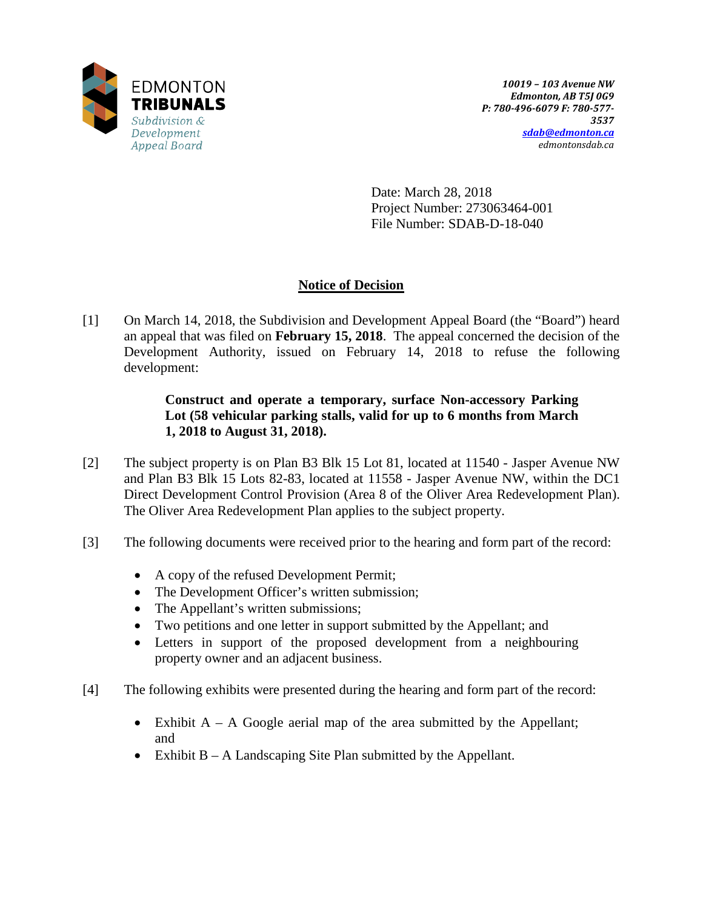

Date: March 28, 2018 Project Number: 273063464-001 File Number: SDAB-D-18-040

# **Notice of Decision**

[1] On March 14, 2018, the Subdivision and Development Appeal Board (the "Board") heard an appeal that was filed on **February 15, 2018**. The appeal concerned the decision of the Development Authority, issued on February 14, 2018 to refuse the following development:

## **Construct and operate a temporary, surface Non-accessory Parking Lot (58 vehicular parking stalls, valid for up to 6 months from March 1, 2018 to August 31, 2018).**

- [2] The subject property is on Plan B3 Blk 15 Lot 81, located at 11540 Jasper Avenue NW and Plan B3 Blk 15 Lots 82-83, located at 11558 - Jasper Avenue NW, within the DC1 Direct Development Control Provision (Area 8 of the Oliver Area Redevelopment Plan). The Oliver Area Redevelopment Plan applies to the subject property.
- [3] The following documents were received prior to the hearing and form part of the record:
	- A copy of the refused Development Permit;
	- The Development Officer's written submission;
	- The Appellant's written submissions;
	- Two petitions and one letter in support submitted by the Appellant; and
	- Letters in support of the proposed development from a neighbouring property owner and an adjacent business.
- [4] The following exhibits were presented during the hearing and form part of the record:
	- Exhibit  $A A$  Google aerial map of the area submitted by the Appellant; and
	- Exhibit B A Landscaping Site Plan submitted by the Appellant.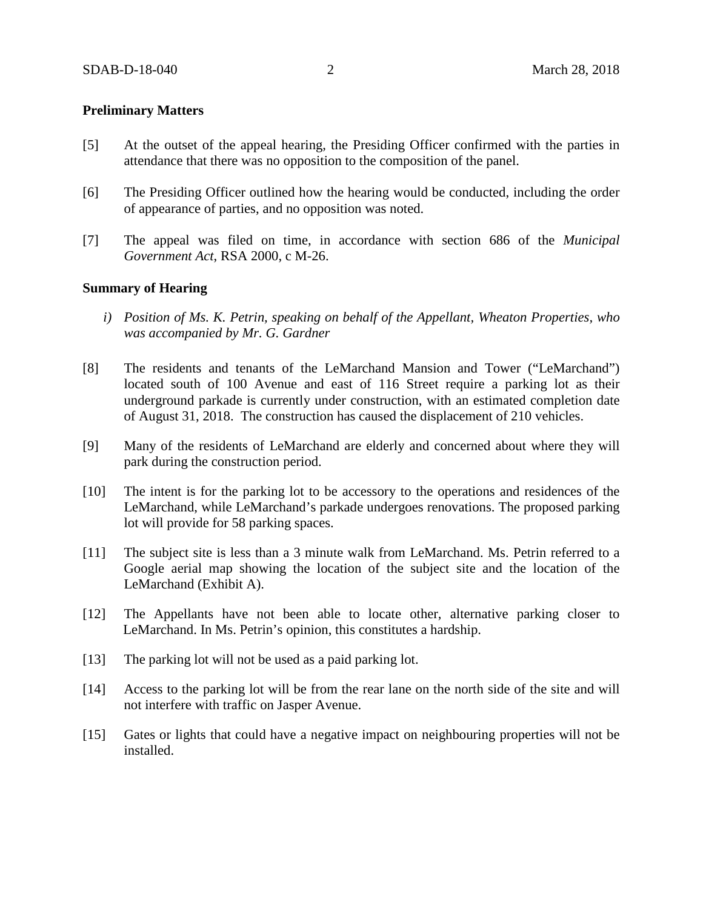## **Preliminary Matters**

- [5] At the outset of the appeal hearing, the Presiding Officer confirmed with the parties in attendance that there was no opposition to the composition of the panel.
- [6] The Presiding Officer outlined how the hearing would be conducted, including the order of appearance of parties, and no opposition was noted.
- [7] The appeal was filed on time, in accordance with section 686 of the *Municipal Government Act*, RSA 2000, c M-26.

## **Summary of Hearing**

- *i) Position of Ms. K. Petrin, speaking on behalf of the Appellant, Wheaton Properties, who was accompanied by Mr. G. Gardner*
- [8] The residents and tenants of the LeMarchand Mansion and Tower ("LeMarchand") located south of 100 Avenue and east of 116 Street require a parking lot as their underground parkade is currently under construction, with an estimated completion date of August 31, 2018. The construction has caused the displacement of 210 vehicles.
- [9] Many of the residents of LeMarchand are elderly and concerned about where they will park during the construction period.
- [10] The intent is for the parking lot to be accessory to the operations and residences of the LeMarchand, while LeMarchand's parkade undergoes renovations. The proposed parking lot will provide for 58 parking spaces.
- [11] The subject site is less than a 3 minute walk from LeMarchand. Ms. Petrin referred to a Google aerial map showing the location of the subject site and the location of the LeMarchand (Exhibit A).
- [12] The Appellants have not been able to locate other, alternative parking closer to LeMarchand. In Ms. Petrin's opinion, this constitutes a hardship.
- [13] The parking lot will not be used as a paid parking lot.
- [14] Access to the parking lot will be from the rear lane on the north side of the site and will not interfere with traffic on Jasper Avenue.
- [15] Gates or lights that could have a negative impact on neighbouring properties will not be installed.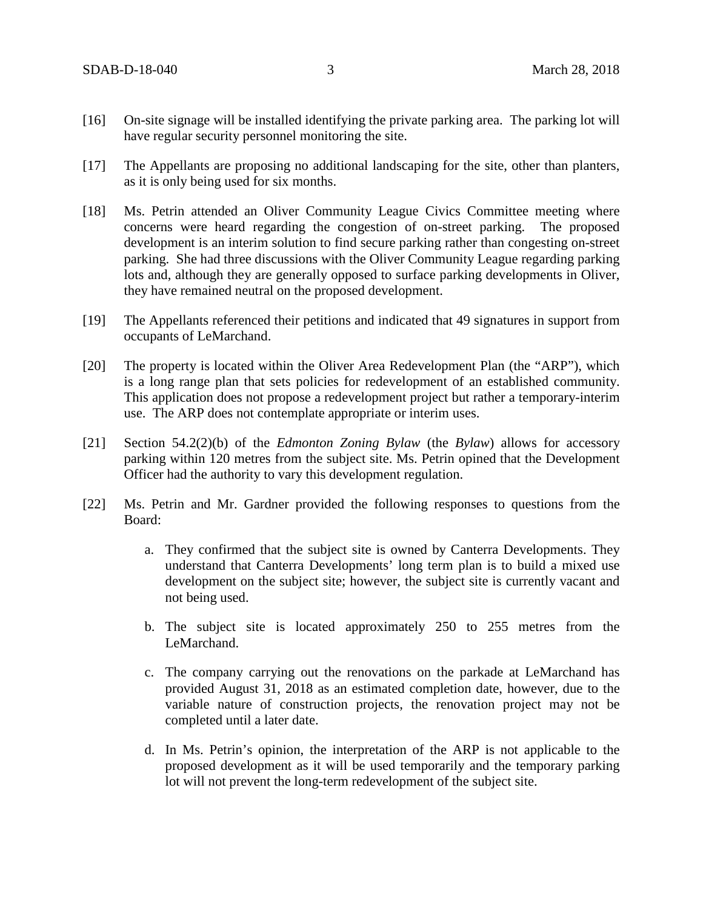- [16] On-site signage will be installed identifying the private parking area. The parking lot will have regular security personnel monitoring the site.
- [17] The Appellants are proposing no additional landscaping for the site, other than planters, as it is only being used for six months.
- [18] Ms. Petrin attended an Oliver Community League Civics Committee meeting where concerns were heard regarding the congestion of on-street parking. The proposed development is an interim solution to find secure parking rather than congesting on-street parking. She had three discussions with the Oliver Community League regarding parking lots and, although they are generally opposed to surface parking developments in Oliver, they have remained neutral on the proposed development.
- [19] The Appellants referenced their petitions and indicated that 49 signatures in support from occupants of LeMarchand.
- [20] The property is located within the Oliver Area Redevelopment Plan (the "ARP"), which is a long range plan that sets policies for redevelopment of an established community. This application does not propose a redevelopment project but rather a temporary-interim use. The ARP does not contemplate appropriate or interim uses.
- [21] Section 54.2(2)(b) of the *Edmonton Zoning Bylaw* (the *Bylaw*) allows for accessory parking within 120 metres from the subject site. Ms. Petrin opined that the Development Officer had the authority to vary this development regulation.
- [22] Ms. Petrin and Mr. Gardner provided the following responses to questions from the Board:
	- a. They confirmed that the subject site is owned by Canterra Developments. They understand that Canterra Developments' long term plan is to build a mixed use development on the subject site; however, the subject site is currently vacant and not being used.
	- b. The subject site is located approximately 250 to 255 metres from the LeMarchand.
	- c. The company carrying out the renovations on the parkade at LeMarchand has provided August 31, 2018 as an estimated completion date, however, due to the variable nature of construction projects, the renovation project may not be completed until a later date.
	- d. In Ms. Petrin's opinion, the interpretation of the ARP is not applicable to the proposed development as it will be used temporarily and the temporary parking lot will not prevent the long-term redevelopment of the subject site.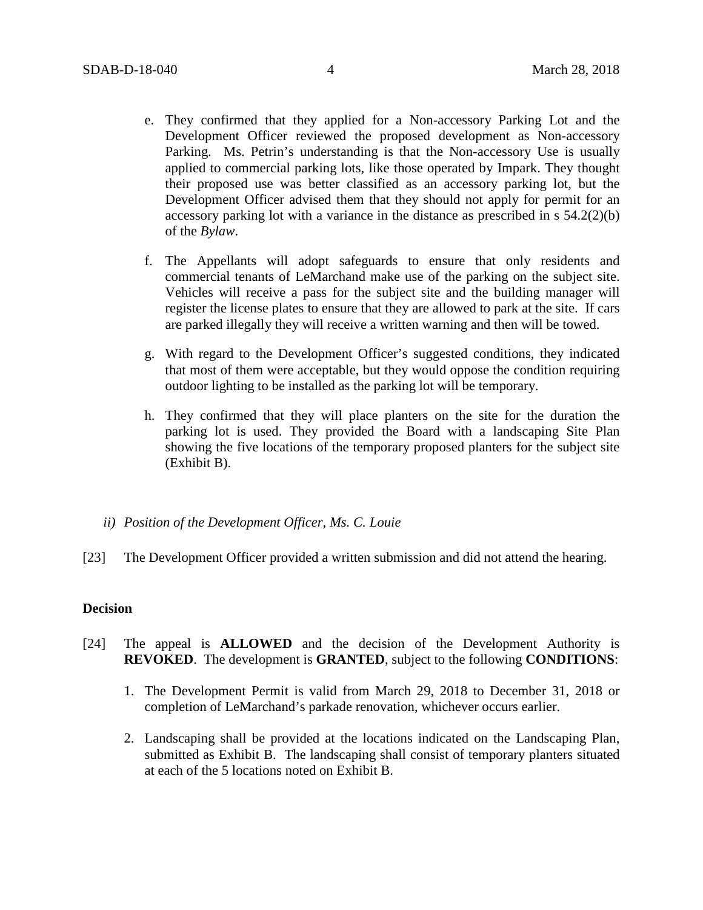- e. They confirmed that they applied for a Non-accessory Parking Lot and the Development Officer reviewed the proposed development as Non-accessory Parking. Ms. Petrin's understanding is that the Non-accessory Use is usually applied to commercial parking lots, like those operated by Impark. They thought their proposed use was better classified as an accessory parking lot, but the Development Officer advised them that they should not apply for permit for an accessory parking lot with a variance in the distance as prescribed in s 54.2(2)(b) of the *Bylaw*.
- f. The Appellants will adopt safeguards to ensure that only residents and commercial tenants of LeMarchand make use of the parking on the subject site. Vehicles will receive a pass for the subject site and the building manager will register the license plates to ensure that they are allowed to park at the site. If cars are parked illegally they will receive a written warning and then will be towed.
- g. With regard to the Development Officer's suggested conditions, they indicated that most of them were acceptable, but they would oppose the condition requiring outdoor lighting to be installed as the parking lot will be temporary.
- h. They confirmed that they will place planters on the site for the duration the parking lot is used. They provided the Board with a landscaping Site Plan showing the five locations of the temporary proposed planters for the subject site (Exhibit B).
- *ii) Position of the Development Officer, Ms. C. Louie*
- [23] The Development Officer provided a written submission and did not attend the hearing.

## **Decision**

- [24] The appeal is **ALLOWED** and the decision of the Development Authority is **REVOKED**. The development is **GRANTED**, subject to the following **CONDITIONS**:
	- 1. The Development Permit is valid from March 29, 2018 to December 31, 2018 or completion of LeMarchand's parkade renovation, whichever occurs earlier.
	- 2. Landscaping shall be provided at the locations indicated on the Landscaping Plan, submitted as Exhibit B. The landscaping shall consist of temporary planters situated at each of the 5 locations noted on Exhibit B.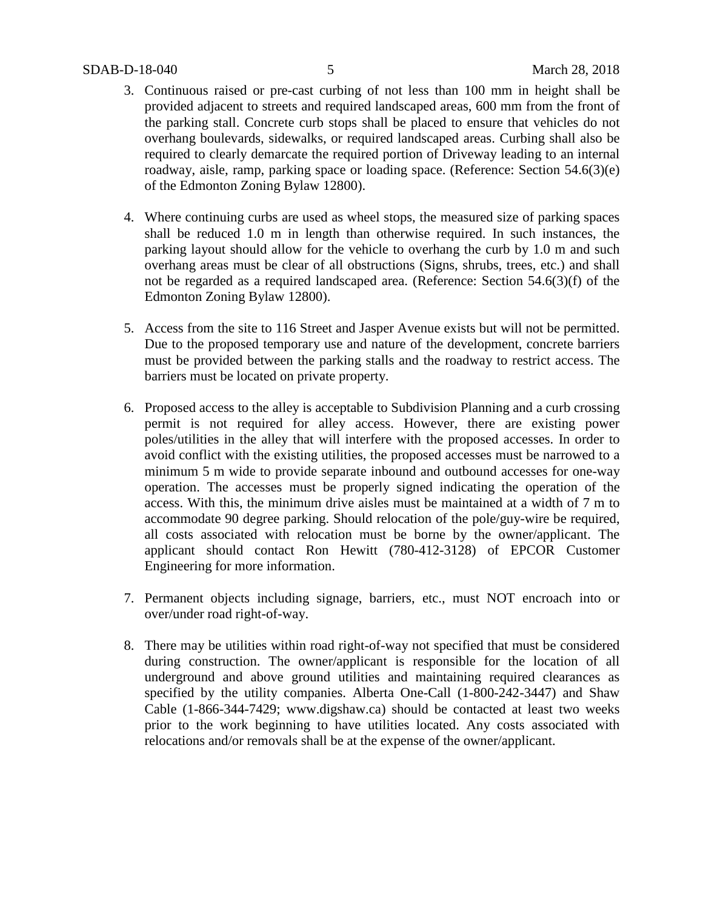## SDAB-D-18-040 5 March 28, 2018

- 3. Continuous raised or pre-cast curbing of not less than 100 mm in height shall be provided adjacent to streets and required landscaped areas, 600 mm from the front of the parking stall. Concrete curb stops shall be placed to ensure that vehicles do not overhang boulevards, sidewalks, or required landscaped areas. Curbing shall also be required to clearly demarcate the required portion of Driveway leading to an internal roadway, aisle, ramp, parking space or loading space. (Reference: Section 54.6(3)(e) of the Edmonton Zoning Bylaw 12800).
- 4. Where continuing curbs are used as wheel stops, the measured size of parking spaces shall be reduced 1.0 m in length than otherwise required. In such instances, the parking layout should allow for the vehicle to overhang the curb by 1.0 m and such overhang areas must be clear of all obstructions (Signs, shrubs, trees, etc.) and shall not be regarded as a required landscaped area. (Reference: Section 54.6(3)(f) of the Edmonton Zoning Bylaw 12800).
- 5. Access from the site to 116 Street and Jasper Avenue exists but will not be permitted. Due to the proposed temporary use and nature of the development, concrete barriers must be provided between the parking stalls and the roadway to restrict access. The barriers must be located on private property.
- 6. Proposed access to the alley is acceptable to Subdivision Planning and a curb crossing permit is not required for alley access. However, there are existing power poles/utilities in the alley that will interfere with the proposed accesses. In order to avoid conflict with the existing utilities, the proposed accesses must be narrowed to a minimum 5 m wide to provide separate inbound and outbound accesses for one-way operation. The accesses must be properly signed indicating the operation of the access. With this, the minimum drive aisles must be maintained at a width of 7 m to accommodate 90 degree parking. Should relocation of the pole/guy-wire be required, all costs associated with relocation must be borne by the owner/applicant. The applicant should contact Ron Hewitt (780-412-3128) of EPCOR Customer Engineering for more information.
- 7. Permanent objects including signage, barriers, etc., must NOT encroach into or over/under road right-of-way.
- 8. There may be utilities within road right-of-way not specified that must be considered during construction. The owner/applicant is responsible for the location of all underground and above ground utilities and maintaining required clearances as specified by the utility companies. Alberta One-Call (1-800-242-3447) and Shaw Cable (1-866-344-7429; www.digshaw.ca) should be contacted at least two weeks prior to the work beginning to have utilities located. Any costs associated with relocations and/or removals shall be at the expense of the owner/applicant.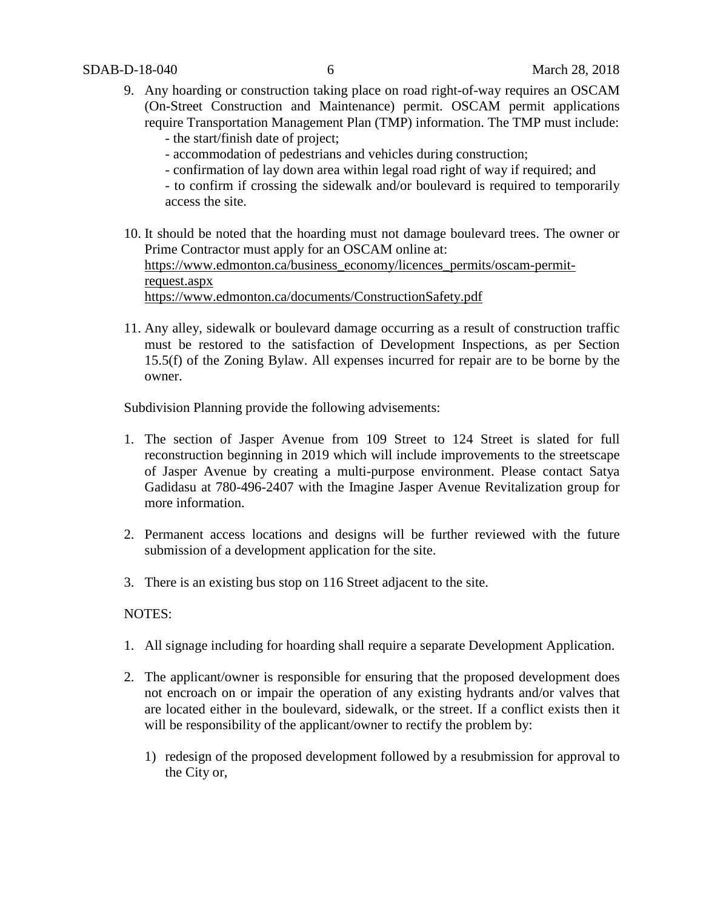- 9. Any hoarding or construction taking place on road right-of-way requires an OSCAM (On-Street Construction and Maintenance) permit. OSCAM permit applications require Transportation Management Plan (TMP) information. The TMP must include:
	- the start/finish date of project;
	- accommodation of pedestrians and vehicles during construction;
	- confirmation of lay down area within legal road right of way if required; and
	- to confirm if crossing the sidewalk and/or boulevard is required to temporarily access the site.
- 10. It should be noted that the hoarding must not damage boulevard trees. The owner or Prime Contractor must apply for an OSCAM online at: [https://www.edmonton.ca/business\\_economy/licences\\_permits/oscam-permit](https://www.edmonton.ca/business_economy/licences_permits/oscam-permit-request.aspx)[request.aspx](https://www.edmonton.ca/business_economy/licences_permits/oscam-permit-request.aspx) <https://www.edmonton.ca/documents/ConstructionSafety.pdf>
- 11. Any alley, sidewalk or boulevard damage occurring as a result of construction traffic must be restored to the satisfaction of Development Inspections, as per Section 15.5(f) of the Zoning Bylaw. All expenses incurred for repair are to be borne by the owner.

Subdivision Planning provide the following advisements:

- 1. The section of Jasper Avenue from 109 Street to 124 Street is slated for full reconstruction beginning in 2019 which will include improvements to the streetscape of Jasper Avenue by creating a multi-purpose environment. Please contact Satya Gadidasu at 780-496-2407 with the Imagine Jasper Avenue Revitalization group for more information.
- 2. Permanent access locations and designs will be further reviewed with the future submission of a development application for the site.
- 3. There is an existing bus stop on 116 Street adjacent to the site.

## NOTES:

- 1. All signage including for hoarding shall require a separate Development Application.
- 2. The applicant/owner is responsible for ensuring that the proposed development does not encroach on or impair the operation of any existing hydrants and/or valves that are located either in the boulevard, sidewalk, or the street. If a conflict exists then it will be responsibility of the applicant/owner to rectify the problem by:
	- 1) redesign of the proposed development followed by a resubmission for approval to the City or,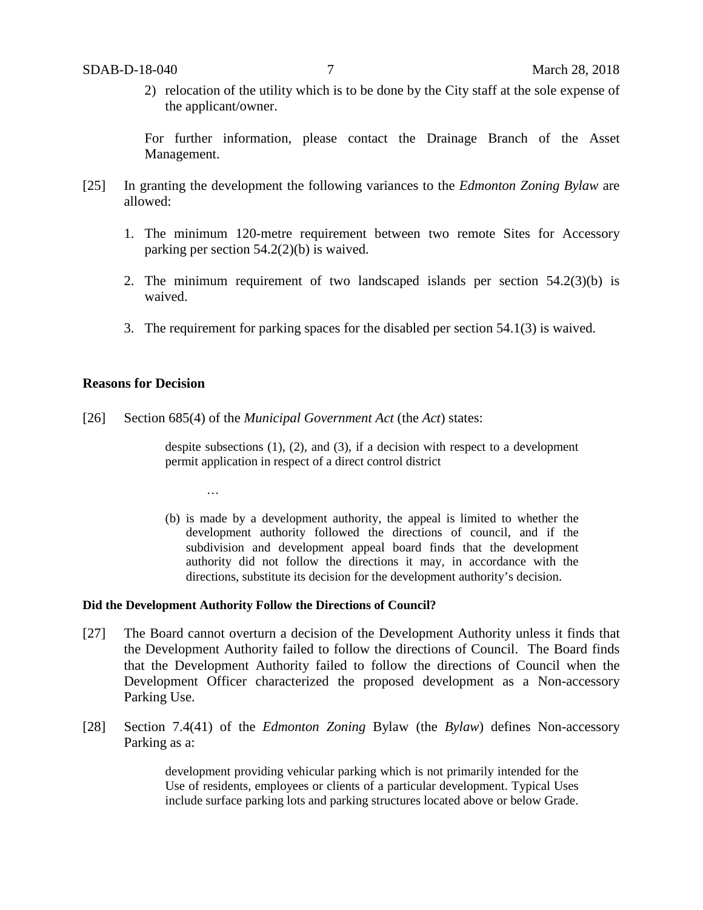2) relocation of the utility which is to be done by the City staff at the sole expense of the applicant/owner.

For further information, please contact the Drainage Branch of the Asset Management.

- [25] In granting the development the following variances to the *Edmonton Zoning Bylaw* are allowed:
	- 1. The minimum 120-metre requirement between two remote Sites for Accessory parking per section 54.2(2)(b) is waived.
	- 2. The minimum requirement of two landscaped islands per section 54.2(3)(b) is waived.
	- 3. The requirement for parking spaces for the disabled per section 54.1(3) is waived.

#### **Reasons for Decision**

[26] Section 685(4) of the *Municipal Government Act* (the *Act*) states:

despite subsections  $(1)$ ,  $(2)$ , and  $(3)$ , if a decision with respect to a development permit application in respect of a direct control district

(b) is made by a development authority, the appeal is limited to whether the development authority followed the directions of council, and if the subdivision and development appeal board finds that the development authority did not follow the directions it may, in accordance with the directions, substitute its decision for the development authority's decision.

#### **Did the Development Authority Follow the Directions of Council?**

…

- [27] The Board cannot overturn a decision of the Development Authority unless it finds that the Development Authority failed to follow the directions of Council. The Board finds that the Development Authority failed to follow the directions of Council when the Development Officer characterized the proposed development as a Non-accessory Parking Use.
- [28] Section 7.4(41) of the *Edmonton Zoning* Bylaw (the *Bylaw*) defines Non-accessory Parking as a:

development providing vehicular parking which is not primarily intended for the Use of residents, employees or clients of a particular development. Typical Uses include surface parking lots and parking structures located above or below Grade.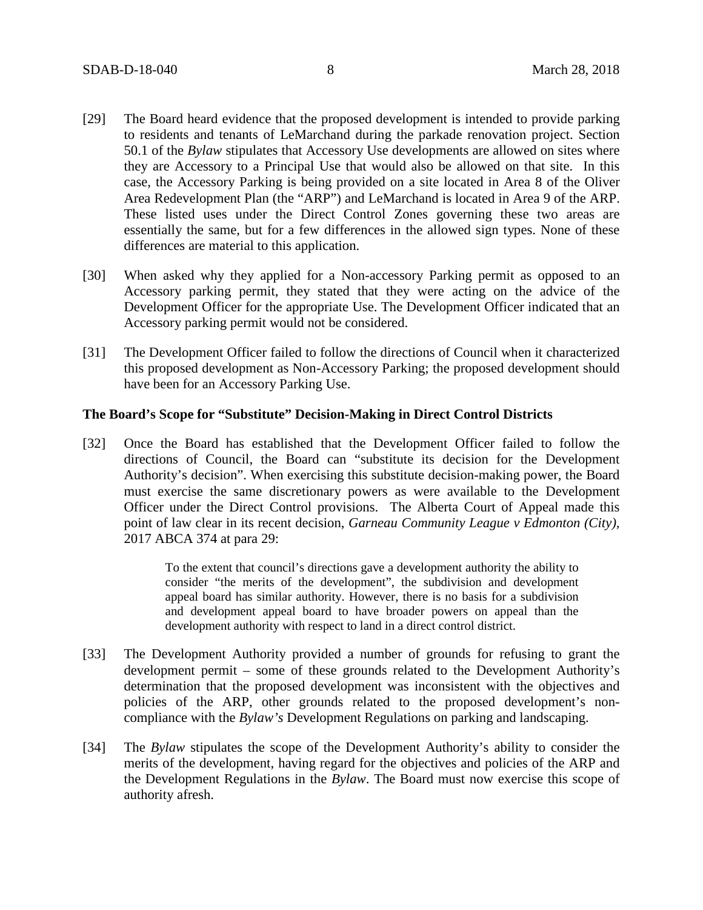- [29] The Board heard evidence that the proposed development is intended to provide parking to residents and tenants of LeMarchand during the parkade renovation project. Section 50.1 of the *Bylaw* stipulates that Accessory Use developments are allowed on sites where they are Accessory to a Principal Use that would also be allowed on that site. In this case, the Accessory Parking is being provided on a site located in Area 8 of the Oliver Area Redevelopment Plan (the "ARP") and LeMarchand is located in Area 9 of the ARP. These listed uses under the Direct Control Zones governing these two areas are essentially the same, but for a few differences in the allowed sign types. None of these differences are material to this application.
- [30] When asked why they applied for a Non-accessory Parking permit as opposed to an Accessory parking permit, they stated that they were acting on the advice of the Development Officer for the appropriate Use. The Development Officer indicated that an Accessory parking permit would not be considered.
- [31] The Development Officer failed to follow the directions of Council when it characterized this proposed development as Non-Accessory Parking; the proposed development should have been for an Accessory Parking Use.

## **The Board's Scope for "Substitute" Decision-Making in Direct Control Districts**

[32] Once the Board has established that the Development Officer failed to follow the directions of Council, the Board can "substitute its decision for the Development Authority's decision". When exercising this substitute decision-making power, the Board must exercise the same discretionary powers as were available to the Development Officer under the Direct Control provisions. The Alberta Court of Appeal made this point of law clear in its recent decision, *Garneau Community League v Edmonton (City),*  2017 ABCA 374 at para 29:

> To the extent that council's directions gave a development authority the ability to consider "the merits of the development", the subdivision and development appeal board has similar authority. However, there is no basis for a subdivision and development appeal board to have broader powers on appeal than the development authority with respect to land in a direct control district.

- [33] The Development Authority provided a number of grounds for refusing to grant the development permit – some of these grounds related to the Development Authority's determination that the proposed development was inconsistent with the objectives and policies of the ARP, other grounds related to the proposed development's noncompliance with the *Bylaw's* Development Regulations on parking and landscaping.
- [34] The *Bylaw* stipulates the scope of the Development Authority's ability to consider the merits of the development, having regard for the objectives and policies of the ARP and the Development Regulations in the *Bylaw*. The Board must now exercise this scope of authority afresh.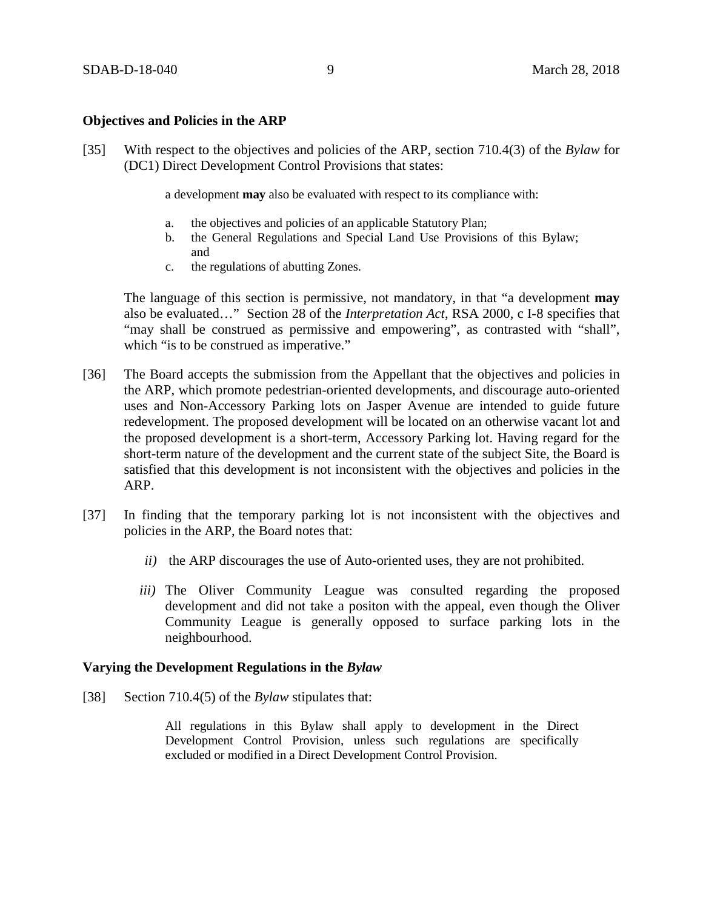## **Objectives and Policies in the ARP**

[35] With respect to the objectives and policies of the ARP, section 710.4(3) of the *Bylaw* for (DC1) Direct Development Control Provisions that states:

a development **may** also be evaluated with respect to its compliance with:

- a. the objectives and policies of an applicable Statutory Plan;
- b. the General Regulations and Special Land Use Provisions of this Bylaw; and
- c. the regulations of abutting Zones.

The language of this section is permissive, not mandatory, in that "a development **may** also be evaluated…" Section 28 of the *Interpretation Act*, RSA 2000, c I-8 specifies that "may shall be construed as permissive and empowering", as contrasted with "shall", which "is to be construed as imperative."

- [36] The Board accepts the submission from the Appellant that the objectives and policies in the ARP, which promote pedestrian-oriented developments, and discourage auto-oriented uses and Non-Accessory Parking lots on Jasper Avenue are intended to guide future redevelopment. The proposed development will be located on an otherwise vacant lot and the proposed development is a short-term, Accessory Parking lot. Having regard for the short-term nature of the development and the current state of the subject Site, the Board is satisfied that this development is not inconsistent with the objectives and policies in the ARP.
- [37] In finding that the temporary parking lot is not inconsistent with the objectives and policies in the ARP, the Board notes that:
	- *ii)* the ARP discourages the use of Auto-oriented uses, they are not prohibited.
	- *iii)* The Oliver Community League was consulted regarding the proposed development and did not take a positon with the appeal, even though the Oliver Community League is generally opposed to surface parking lots in the neighbourhood.

## **Varying the Development Regulations in the** *Bylaw*

[38] Section 710.4(5) of the *Bylaw* stipulates that:

All regulations in this Bylaw shall apply to development in the Direct Development Control Provision, unless such regulations are specifically excluded or modified in a Direct Development Control Provision.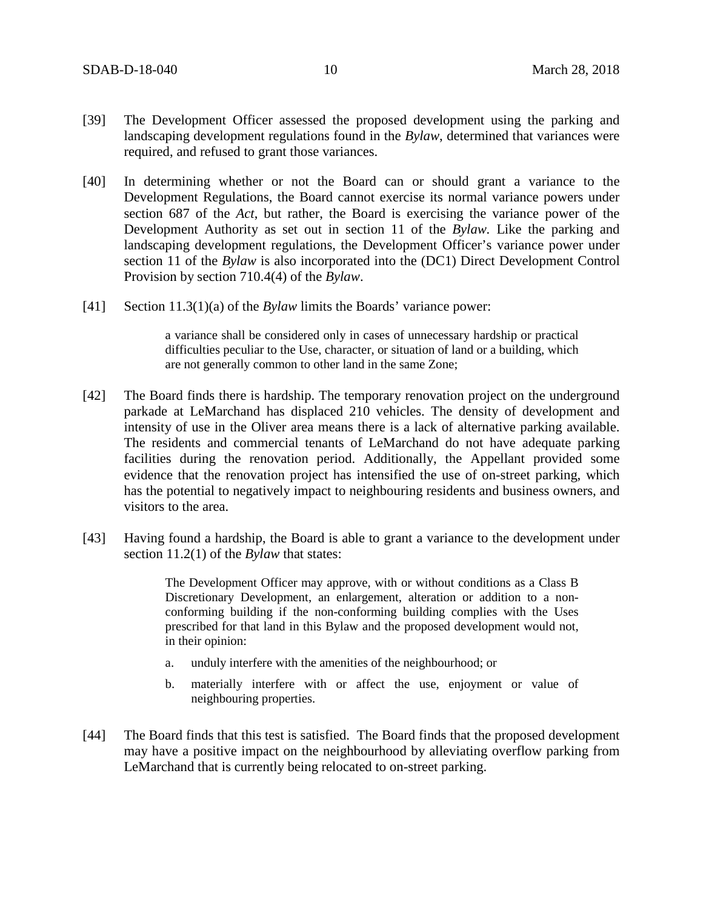- [39] The Development Officer assessed the proposed development using the parking and landscaping development regulations found in the *Bylaw*, determined that variances were required, and refused to grant those variances.
- [40] In determining whether or not the Board can or should grant a variance to the Development Regulations, the Board cannot exercise its normal variance powers under section 687 of the *Act*, but rather, the Board is exercising the variance power of the Development Authority as set out in section 11 of the *Bylaw.* Like the parking and landscaping development regulations, the Development Officer's variance power under section 11 of the *Bylaw* is also incorporated into the (DC1) Direct Development Control Provision by section 710.4(4) of the *Bylaw*.
- [41] Section 11.3(1)(a) of the *Bylaw* limits the Boards' variance power:

a variance shall be considered only in cases of unnecessary hardship or practical difficulties peculiar to the Use, character, or situation of land or a building, which are not generally common to other land in the same Zone;

- [42] The Board finds there is hardship. The temporary renovation project on the underground parkade at LeMarchand has displaced 210 vehicles. The density of development and intensity of use in the Oliver area means there is a lack of alternative parking available. The residents and commercial tenants of LeMarchand do not have adequate parking facilities during the renovation period. Additionally, the Appellant provided some evidence that the renovation project has intensified the use of on-street parking, which has the potential to negatively impact to neighbouring residents and business owners, and visitors to the area.
- [43] Having found a hardship, the Board is able to grant a variance to the development under section 11.2(1) of the *Bylaw* that states:

The Development Officer may approve, with or without conditions as a Class B Discretionary Development, an enlargement, alteration or addition to a nonconforming building if the non-conforming building complies with the Uses prescribed for that land in this Bylaw and the proposed development would not, in their opinion:

- a. unduly interfere with the amenities of the neighbourhood; or
- b. materially interfere with or affect the use, enjoyment or value of neighbouring properties.
- [44] The Board finds that this test is satisfied. The Board finds that the proposed development may have a positive impact on the neighbourhood by alleviating overflow parking from LeMarchand that is currently being relocated to on-street parking.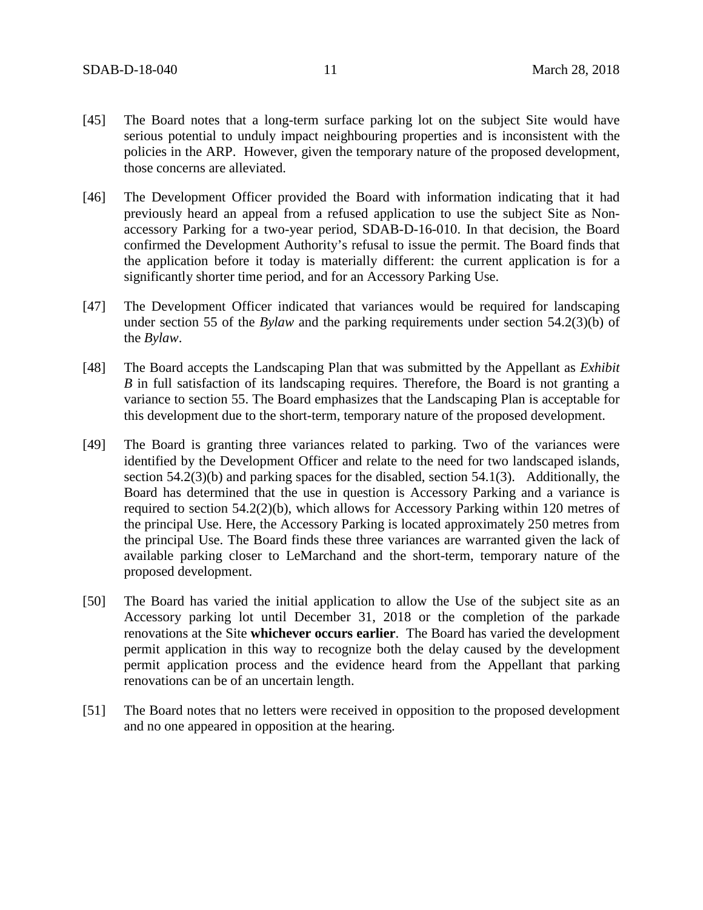- [45] The Board notes that a long-term surface parking lot on the subject Site would have serious potential to unduly impact neighbouring properties and is inconsistent with the policies in the ARP. However, given the temporary nature of the proposed development, those concerns are alleviated.
- [46] The Development Officer provided the Board with information indicating that it had previously heard an appeal from a refused application to use the subject Site as Nonaccessory Parking for a two-year period, SDAB-D-16-010. In that decision, the Board confirmed the Development Authority's refusal to issue the permit. The Board finds that the application before it today is materially different: the current application is for a significantly shorter time period, and for an Accessory Parking Use.
- [47] The Development Officer indicated that variances would be required for landscaping under section 55 of the *Bylaw* and the parking requirements under section 54.2(3)(b) of the *Bylaw*.
- [48] The Board accepts the Landscaping Plan that was submitted by the Appellant as *Exhibit B* in full satisfaction of its landscaping requires. Therefore, the Board is not granting a variance to section 55. The Board emphasizes that the Landscaping Plan is acceptable for this development due to the short-term, temporary nature of the proposed development.
- [49] The Board is granting three variances related to parking. Two of the variances were identified by the Development Officer and relate to the need for two landscaped islands, section 54.2(3)(b) and parking spaces for the disabled, section 54.1(3). Additionally, the Board has determined that the use in question is Accessory Parking and a variance is required to section 54.2(2)(b), which allows for Accessory Parking within 120 metres of the principal Use. Here, the Accessory Parking is located approximately 250 metres from the principal Use. The Board finds these three variances are warranted given the lack of available parking closer to LeMarchand and the short-term, temporary nature of the proposed development.
- [50] The Board has varied the initial application to allow the Use of the subject site as an Accessory parking lot until December 31, 2018 or the completion of the parkade renovations at the Site **whichever occurs earlier**. The Board has varied the development permit application in this way to recognize both the delay caused by the development permit application process and the evidence heard from the Appellant that parking renovations can be of an uncertain length.
- [51] The Board notes that no letters were received in opposition to the proposed development and no one appeared in opposition at the hearing.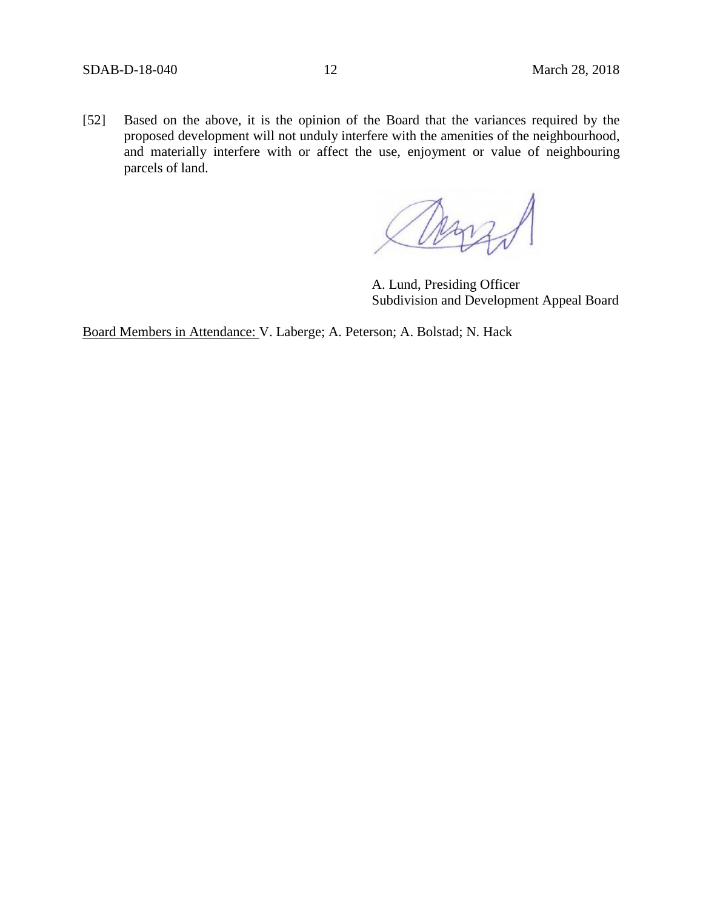[52] Based on the above, it is the opinion of the Board that the variances required by the proposed development will not unduly interfere with the amenities of the neighbourhood, and materially interfere with or affect the use, enjoyment or value of neighbouring parcels of land.

Mar

A. Lund, Presiding Officer Subdivision and Development Appeal Board

Board Members in Attendance: V. Laberge; A. Peterson; A. Bolstad; N. Hack